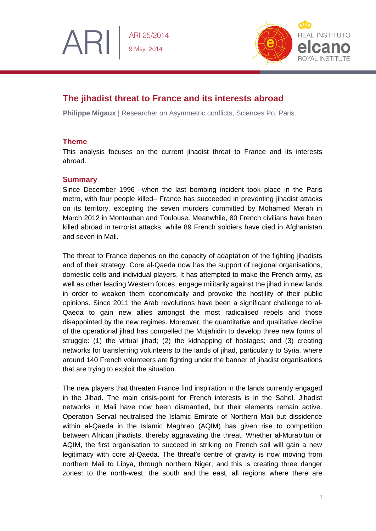

# **The jihadist threat to France and its interests abroad**

**Philippe Migaux** | Researcher on Asymmetric conflicts, Sciences Po, Paris.

## **Theme**

ARI

This analysis focuses on the current jihadist threat to France and its interests abroad.

## **Summary**

Since December 1996 –when the last bombing incident took place in the Paris metro, with four people killed– France has succeeded in preventing jihadist attacks on its territory, excepting the seven murders committed by Mohamed Merah in March 2012 in Montauban and Toulouse. Meanwhile, 80 French civilians have been killed abroad in terrorist attacks, while 89 French soldiers have died in Afghanistan and seven in Mali.

The threat to France depends on the capacity of adaptation of the fighting jihadists and of their strategy. Core al-Qaeda now has the support of regional organisations, domestic cells and individual players. It has attempted to make the French army, as well as other leading Western forces, engage militarily against the jihad in new lands in order to weaken them economically and provoke the hostility of their public opinions. Since 2011 the Arab revolutions have been a significant challenge to al-Qaeda to gain new allies amongst the most radicalised rebels and those disappointed by the new regimes. Moreover, the quantitative and qualitative decline of the operational jihad has compelled the Mujahidin to develop three new forms of struggle: (1) the virtual jihad; (2) the kidnapping of hostages; and (3) creating networks for transferring volunteers to the lands of jihad, particularly to Syria, where around 140 French volunteers are fighting under the banner of jihadist organisations that are trying to exploit the situation.

The new players that threaten France find inspiration in the lands currently engaged in the Jihad. The main crisis-point for French interests is in the Sahel. Jihadist networks in Mali have now been dismantled, but their elements remain active. Operation Serval neutralised the Islamic Emirate of Northern Mali but dissidence within al-Qaeda in the Islamic Maghreb (AQIM) has given rise to competition between African jihadists, thereby aggravating the threat. Whether al-Murabitun or AQIM, the first organisation to succeed in striking on French soil will gain a new legitimacy with core al-Qaeda. The threat's centre of gravity is now moving from northern Mali to Libya, through northern Niger, and this is creating three danger zones: to the north-west, the south and the east, all regions where there are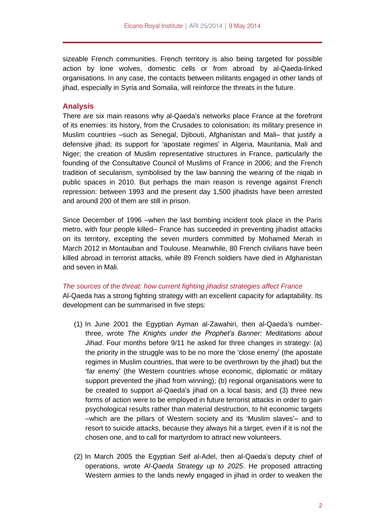sizeable French communities. French territory is also being targeted for possible action by lone wolves, domestic cells or from abroad by al-Qaeda-linked organisations. In any case, the contacts between militants engaged in other lands of jihad, especially in Syria and Somalia, will reinforce the threats in the future.

#### **Analysis**

There are six main reasons why al-Qaeda's networks place France at the forefront of its enemies: its history, from the Crusades to colonisation; its military presence in Muslim countries –such as Senegal, Djibouti, Afghanistan and Mali– that justify a defensive jihad; its support for 'apostate regimes' in Algeria, Mauritania, Mali and Niger; the creation of Muslim representative structures in France, particularly the founding of the Consultative Council of Muslims of France in 2006; and the French tradition of secularism, symbolised by the law banning the wearing of the niqab in public spaces in 2010. But perhaps the main reason is revenge against French repression: between 1993 and the present day 1,500 jihadists have been arrested and around 200 of them are still in prison.

Since December of 1996 –when the last bombing incident took place in the Paris metro, with four people killed– France has succeeded in preventing jihadist attacks on its territory, excepting the seven murders committed by Mohamed Merah in March 2012 in Montauban and Toulouse. Meanwhile, 80 French civilians have been killed abroad in terrorist attacks, while 89 French soldiers have died in Afghanistan and seven in Mali.

#### *The sources of the threat: how current fighting jihadist strategies affect France*

Al-Qaeda has a strong fighting strategy with an excellent capacity for adaptability. Its development can be summarised in five steps:

- (1) In June 2001 the Egyptian Ayman al-Zawahiri, then al-Qaeda's numberthree, wrote *The Knights under the Prophet's Banner: Meditations about Jihad*. Four months before 9/11 he asked for three changes in strategy: (a) the priority in the struggle was to be no more the 'close enemy' (the apostate regimes in Muslim countries, that were to be overthrown by the jihad) but the 'far enemy' (the Western countries whose economic, diplomatic or military support prevented the jihad from winning); (b) regional organisations were to be created to support al-Qaeda's jihad on a local basis; and (3) three new forms of action were to be employed in future terrorist attacks in order to gain psychological results rather than material destruction, to hit economic targets –which are the pillars of Western society and its 'Muslim slaves'– and to resort to suicide attacks, because they always hit a target, even if it is not the chosen one, and to call for martyrdom to attract new volunteers.
- (2) In March 2005 the Egyptian Seif al-Adel, then al-Qaeda's deputy chief of operations, wrote *Al-Qaeda Strategy up to 2025*. He proposed attracting Western armies to the lands newly engaged in jihad in order to weaken the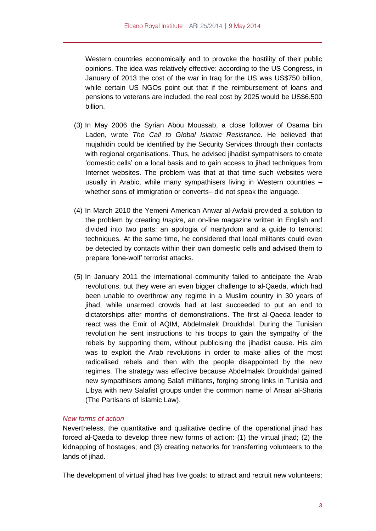Western countries economically and to provoke the hostility of their public opinions. The idea was relatively effective: according to the US Congress, in January of 2013 the cost of the war in Iraq for the US was US\$750 billion, while certain US NGOs point out that if the reimbursement of loans and pensions to veterans are included, the real cost by 2025 would be US\$6.500 billion.

- (3) In May 2006 the Syrian Abou Moussab, a close follower of Osama bin Laden, wrote *The Call to Global Islamic Resistance*. He believed that mujahidin could be identified by the Security Services through their contacts with regional organisations. Thus, he advised jihadist sympathisers to create 'domestic cells' on a local basis and to gain access to jihad techniques from Internet websites. The problem was that at that time such websites were usually in Arabic, while many sympathisers living in Western countries – whether sons of immigration or converts– did not speak the language.
- (4) In March 2010 the Yemeni-American Anwar al-Awlaki provided a solution to the problem by creating *Inspire*, an on-line magazine written in English and divided into two parts: an apologia of martyrdom and a guide to terrorist techniques. At the same time, he considered that local militants could even be detected by contacts within their own domestic cells and advised them to prepare 'lone-wolf' terrorist attacks.
- (5) In January 2011 the international community failed to anticipate the Arab revolutions, but they were an even bigger challenge to al-Qaeda, which had been unable to overthrow any regime in a Muslim country in 30 years of jihad, while unarmed crowds had at last succeeded to put an end to dictatorships after months of demonstrations. The first al-Qaeda leader to react was the Emir of AQIM, Abdelmalek Droukhdal. During the Tunisian revolution he sent instructions to his troops to gain the sympathy of the rebels by supporting them, without publicising the jihadist cause. His aim was to exploit the Arab revolutions in order to make allies of the most radicalised rebels and then with the people disappointed by the new regimes. The strategy was effective because Abdelmalek Droukhdal gained new sympathisers among Salafi militants, forging strong links in Tunisia and Libya with new Salafist groups under the common name of Ansar al-Sharia (The Partisans of Islamic Law).

### *New forms of action*

Nevertheless, the quantitative and qualitative decline of the operational jihad has forced al-Qaeda to develop three new forms of action: (1) the virtual jihad; (2) the kidnapping of hostages; and (3) creating networks for transferring volunteers to the lands of jihad.

The development of virtual jihad has five goals: to attract and recruit new volunteers;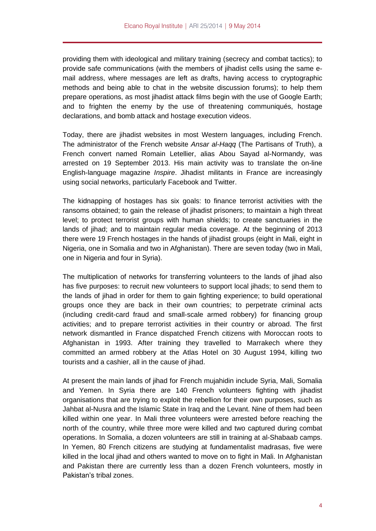providing them with ideological and military training (secrecy and combat tactics); to provide safe communications (with the members of jihadist cells using the same email address, where messages are left as drafts, having access to cryptographic methods and being able to chat in the website discussion forums); to help them prepare operations, as most jihadist attack films begin with the use of Google Earth; and to frighten the enemy by the use of threatening communiqués, hostage declarations, and bomb attack and hostage execution videos.

Today, there are jihadist websites in most Western languages, including French. The administrator of the French website *Ansar al-Haqq* (The Partisans of Truth), a French convert named Romain Letellier, alias Abou Sayad al-Normandy, was arrested on 19 September 2013. His main activity was to translate the on-line English-language magazine *Inspire*. Jihadist militants in France are increasingly using social networks, particularly Facebook and Twitter.

The kidnapping of hostages has six goals: to finance terrorist activities with the ransoms obtained; to gain the release of jihadist prisoners; to maintain a high threat level; to protect terrorist groups with human shields; to create sanctuaries in the lands of jihad; and to maintain regular media coverage. At the beginning of 2013 there were 19 French hostages in the hands of jihadist groups (eight in Mali, eight in Nigeria, one in Somalia and two in Afghanistan). There are seven today (two in Mali, one in Nigeria and four in Syria).

The multiplication of networks for transferring volunteers to the lands of jihad also has five purposes: to recruit new volunteers to support local jihads; to send them to the lands of jihad in order for them to gain fighting experience; to build operational groups once they are back in their own countries; to perpetrate criminal acts (including credit-card fraud and small-scale armed robbery) for financing group activities; and to prepare terrorist activities in their country or abroad. The first network dismantled in France dispatched French citizens with Moroccan roots to Afghanistan in 1993. After training they travelled to Marrakech where they committed an armed robbery at the Atlas Hotel on 30 August 1994, killing two tourists and a cashier, all in the cause of jihad.

At present the main lands of jihad for French mujahidin include Syria, Mali, Somalia and Yemen. In Syria there are 140 French volunteers fighting with jihadist organisations that are trying to exploit the rebellion for their own purposes, such as Jahbat al-Nusra and the Islamic State in Iraq and the Levant. Nine of them had been killed within one year. In Mali three volunteers were arrested before reaching the north of the country, while three more were killed and two captured during combat operations. In Somalia, a dozen volunteers are still in training at al-Shabaab camps. In Yemen, 80 French citizens are studying at fundamentalist madrasas, five were killed in the local jihad and others wanted to move on to fight in Mali. In Afghanistan and Pakistan there are currently less than a dozen French volunteers, mostly in Pakistan's tribal zones.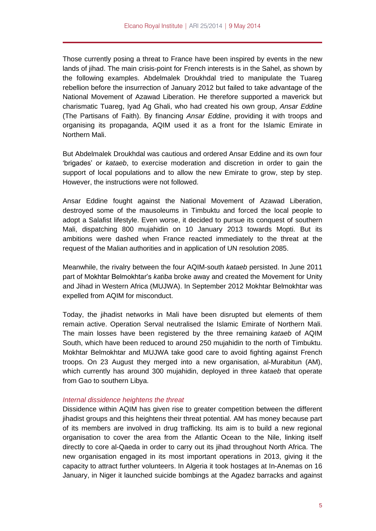Those currently posing a threat to France have been inspired by events in the new lands of jihad. The main crisis-point for French interests is in the Sahel, as shown by the following examples. Abdelmalek Droukhdal tried to manipulate the Tuareg rebellion before the insurrection of January 2012 but failed to take advantage of the National Movement of Azawad Liberation. He therefore supported a maverick but charismatic Tuareg, Iyad Ag Ghali, who had created his own group, *Ansar Eddine* (The Partisans of Faith). By financing *Ansar Eddine*, providing it with troops and organising its propaganda, AQIM used it as a front for the Islamic Emirate in Northern Mali.

But Abdelmalek Droukhdal was cautious and ordered Ansar Eddine and its own four 'brigades' or *kataeb*, to exercise moderation and discretion in order to gain the support of local populations and to allow the new Emirate to grow, step by step. However, the instructions were not followed.

Ansar Eddine fought against the National Movement of Azawad Liberation, destroyed some of the mausoleums in Timbuktu and forced the local people to adopt a Salafist lifestyle. Even worse, it decided to pursue its conquest of southern Mali, dispatching 800 mujahidin on 10 January 2013 towards Mopti. But its ambitions were dashed when France reacted immediately to the threat at the request of the Malian authorities and in application of UN resolution 2085.

Meanwhile, the rivalry between the four AQIM-south *kataeb* persisted. In June 2011 part of Mokhtar Belmokhtar's *katiba* broke away and created the Movement for Unity and Jihad in Western Africa (MUJWA). In September 2012 Mokhtar Belmokhtar was expelled from AQIM for misconduct.

Today, the jihadist networks in Mali have been disrupted but elements of them remain active. Operation Serval neutralised the Islamic Emirate of Northern Mali. The main losses have been registered by the three remaining *kataeb* of AQIM South, which have been reduced to around 250 mujahidin to the north of Timbuktu. Mokhtar Belmokhtar and MUJWA take good care to avoid fighting against French troops. On 23 August they merged into a new organisation, al-Murabitun (AM), which currently has around 300 mujahidin, deployed in three *kataeb* that operate from Gao to southern Libya.

## *Internal dissidence heightens the threat*

Dissidence within AQIM has given rise to greater competition between the different jihadist groups and this heightens their threat potential. AM has money because part of its members are involved in drug trafficking. Its aim is to build a new regional organisation to cover the area from the Atlantic Ocean to the Nile, linking itself directly to core al-Qaeda in order to carry out its jihad throughout North Africa. The new organisation engaged in its most important operations in 2013, giving it the capacity to attract further volunteers. In Algeria it took hostages at In-Anemas on 16 January, in Niger it launched suicide bombings at the Agadez barracks and against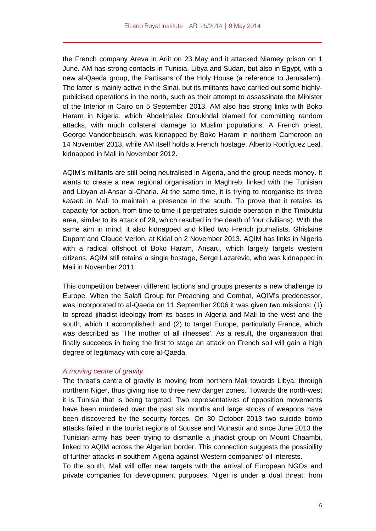the French company Areva in Arlit on 23 May and it attacked Niamey prison on 1 June. AM has strong contacts in Tunisia, Libya and Sudan, but also in Egypt, with a new al-Qaeda group, the Partisans of the Holy House (a reference to Jerusalem). The latter is mainly active in the Sinai, but its militants have carried out some highlypublicised operations in the north, such as their attempt to assassinate the Minister of the Interior in Cairo on 5 September 2013. AM also has strong links with Boko Haram in Nigeria, which Abdelmalek Droukhdal blamed for committing random attacks, with much collateral damage to Muslim populations. A French priest, George Vandenbeusch, was kidnapped by Boko Haram in northern Cameroon on 14 November 2013, while AM itself holds a French hostage, Alberto Rodríguez Leal, kidnapped in Mali in November 2012.

AQIM's militants are still being neutralised in Algeria, and the group needs money. It wants to create a new regional organisation in Maghreb, linked with the Tunisian and Libyan al-Ansar al-Charia. At the same time, it is trying to reorganise its three *kataeb* in Mali to maintain a presence in the south. To prove that it retains its capacity for action, from time to time it perpetrates suicide operation in the Timbuktu area, similar to its attack of 29, which resulted in the death of four civilians). With the same aim in mind, it also kidnapped and killed two French journalists, Ghislaine Dupont and Claude Verlon, at Kidal on 2 November 2013. AQIM has links in Nigeria with a radical offshoot of Boko Haram, Ansaru, which largely targets western citizens. AQIM still retains a single hostage, Serge Lazarevic, who was kidnapped in Mali in November 2011.

This competition between different factions and groups presents a new challenge to Europe. When the Salafi Group for Preaching and Combat, AQIM's predecessor, was incorporated to al-Qaeda on 11 September 2006 it was given two missions: (1) to spread jihadist ideology from its bases in Algeria and Mali to the west and the south, which it accomplished; and (2) to target Europe, particularly France, which was described as 'The mother of all illnesses'. As a result, the organisation that finally succeeds in being the first to stage an attack on French soil will gain a high degree of legitimacy with core al-Qaeda.

#### *A moving centre of gravity*

The threat's centre of gravity is moving from northern Mali towards Libya, through northern Niger, thus giving rise to three new danger zones. Towards the north-west it is Tunisia that is being targeted. Two representatives of opposition movements have been murdered over the past six months and large stocks of weapons have been discovered by the security forces. On 30 October 2013 two suicide bomb attacks failed in the tourist regions of Sousse and Monastir and since June 2013 the Tunisian army has been trying to dismantle a jihadist group on Mount Chaambi, linked to AQIM across the Algerian border. This connection suggests the possibility of further attacks in southern Algeria against Western companies' oil interests.

To the south, Mali will offer new targets with the arrival of European NGOs and private companies for development purposes. Niger is under a dual threat: from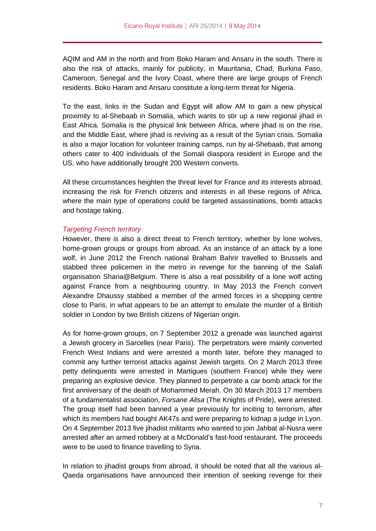AQIM and AM in the north and from Boko Haram and Ansaru in the south. There is also the risk of attacks, mainly for publicity, in Mauritania, Chad, Burkina Faso, Cameroon, Senegal and the Ivory Coast, where there are large groups of French residents. Boko Haram and Ansaru constitute a long-term threat for Nigeria.

To the east, links in the Sudan and Egypt will allow AM to gain a new physical proximity to al-Shebaab in Somalia, which wants to stir up a new regional jihad in East Africa. Somalia is the physical link between Africa, where jihad is on the rise, and the Middle East, where jihad is reviving as a result of the Syrian crisis. Somalia is also a major location for volunteer training camps, run by al-Shebaab, that among others cater to 400 individuals of the Somali diaspora resident in Europe and the US, who have additionally brought 200 Western converts.

All these circumstances heighten the threat level for France and its interests abroad, increasing the risk for French citizens and interests in all these regions of Africa, where the main type of operations could be targeted assassinations, bomb attacks and hostage taking.

### *Targeting French territory*

However, there is also a direct threat to French territory, whether by lone wolves, home-grown groups or groups from abroad. As an instance of an attack by a lone wolf, in June 2012 the French national Braham Bahrir travelled to Brussels and stabbed three policemen in the metro in revenge for the banning of the Salafi organisation Sharia@Belgium. There is also a real possibility of a lone wolf acting against France from a neighbouring country. In May 2013 the French convert Alexandre Dhaussy stabbed a member of the armed forces in a shopping centre close to Paris, in what appears to be an attempt to emulate the murder of a British soldier in London by two British citizens of Nigerian origin.

As for home-grown groups, on 7 September 2012 a grenade was launched against a Jewish grocery in Sarcelles (near Paris). The perpetrators were mainly converted French West Indians and were arrested a month later, before they managed to commit any further terrorist attacks against Jewish targets. On 2 March 2013 three petty delinquents were arrested in Martigues (southern France) while they were preparing an explosive device. They planned to perpetrate a car bomb attack for the first anniversary of the death of Mohammed Merah. On 30 March 2013 17 members of a fundamentalist association, *Forsane Alisa* (The Knights of Pride), were arrested. The group itself had been banned a year previously for inciting to terrorism, after which its members had bought AK47s and were preparing to kidnap a judge in Lyon. On 4 September 2013 five jihadist militants who wanted to join Jahbat al-Nusra were arrested after an armed robbery at a McDonald's fast-food restaurant. The proceeds were to be used to finance travelling to Syria.

In relation to jihadist groups from abroad, it should be noted that all the various al-Qaeda organisations have announced their intention of seeking revenge for their